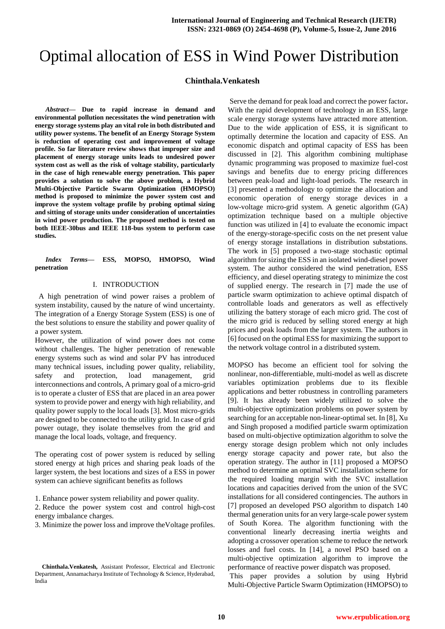# Optimal allocation of ESS in Wind Power Distribution

# **Chinthala.Venkatesh**

*Abstract***— Due to rapid increase in demand and environmental pollution necessitates the wind penetration with energy storage systems play an vital role in both distributed and utility power systems. The benefit of an Energy Storage System is reduction of operating cost and improvement of voltage profile. So far literature review shows that improper size and placement of energy storage units leads to undesired power system cost as well as the risk of voltage stability, particularly in the case of high renewable energy penetration. This paper provides a solution to solve the above problem, a Hybrid Multi-Objective Particle Swarm Optimization (HMOPSO) method is proposed to minimize the power system cost and improve the system voltage profile by probing optimal sizing and sitting of storage units under consideration of uncertainties in wind power production. The proposed method is tested on both IEEE-30bus and IEEE 118-bus system to perform case studies.**

*Index Terms***— ESS, MOPSO, HMOPSO, Wind penetration**

## I. INTRODUCTION

 A high penetration of wind power raises a problem of system instability, caused by the nature of wind uncertainty. The integration of a Energy Storage System (ESS) is one of the best solutions to ensure the stability and power quality of a power system.

However, the utilization of wind power does not come without challenges. The higher penetration of renewable energy systems such as wind and solar PV has introduced many technical issues, including power quality, reliability, safety and protection, load management, grid interconnections and controls, A primary goal of a micro-grid is to operate a cluster of ESS that are placed in an area power system to provide power and energy with high reliability, and quality power supply to the local loads [3]. Most micro-grids are designed to be connected to the utility grid. In case of grid power outage, they isolate themselves from the grid and manage the local loads, voltage, and frequency.

The operating cost of power system is reduced by selling stored energy at high prices and sharing peak loads of the larger system, the best locations and sizes of a ESS in power system can achieve significant benefits as follows

1. Enhance power system reliability and power quality.

2. Reduce the power system cost and control high-cost energy imbalance charges.

3. Minimize the power loss and improve theVoltage profiles.

Serve the demand for peak load and correct the power factor**.**  With the rapid development of technology in an ESS, large scale energy storage systems have attracted more attention. Due to the wide application of ESS, it is significant to optimally determine the location and capacity of ESS. An economic dispatch and optimal capacity of ESS has been discussed in [2]. This algorithm combining multiphase dynamic programming was proposed to maximize fuel-cost savings and benefits due to energy pricing differences between peak-load and light-load periods. The research in [3] presented a methodology to optimize the allocation and economic operation of energy storage devices in a low-voltage micro-grid system. A genetic algorithm (GA) optimization technique based on a multiple objective function was utilized in [4] to evaluate the economic impact of the energy-storage-specific costs on the net present value of energy storage installations in distribution substations. The work in [5] proposed a two-stage stochastic optimal algorithm for sizing the ESS in an isolated wind-diesel power system. The author considered the wind penetration, ESS efficiency, and diesel operating strategy to minimize the cost of supplied energy. The research in [7] made the use of particle swarm optimization to achieve optimal dispatch of controllable loads and generators as well as effectively utilizing the battery storage of each micro grid. The cost of the micro grid is reduced by selling stored energy at high prices and peak loads from the larger system. The authors in [6] focused on the optimal ESS for maximizing the support to the network voltage control in a distributed system.

MOPSO has become an efficient tool for solving the nonlinear, non-differentiable, multi-model as well as discrete variables optimization problems due to its flexible applications and better robustness in controlling parameters [9]. It has already been widely utilized to solve the multi-objective optimization problems on power system by searching for an acceptable non-linear-optimal set. In [8], Xu and Singh proposed a modified particle swarm optimization based on multi-objective optimization algorithm to solve the energy storage design problem which not only includes energy storage capacity and power rate, but also the operation strategy. The author in [11] proposed a MOPSO method to determine an optimal SVC installation scheme for the required loading margin with the SVC installation locations and capacities derived from the union of the SVC installations for all considered contingencies. The authors in [7] proposed an developed PSO algorithm to dispatch 140 thermal generation units for an very large-scale power system of South Korea. The algorithm functioning with the conventional linearly decreasing inertia weights and adopting a crossover operation scheme to reduce the network losses and fuel costs. In [14], a novel PSO based on a multi-objective optimization algorithm to improve the performance of reactive power dispatch was proposed.

This paper provides a solution by using Hybrid Multi-Objective Particle Swarm Optimization (HMOPSO) to

**Chinthala.Venkatesh,** Assistant Professor, Electrical and Electronic Department, Annamacharya Institute of Technology & Science, Hyderabad, India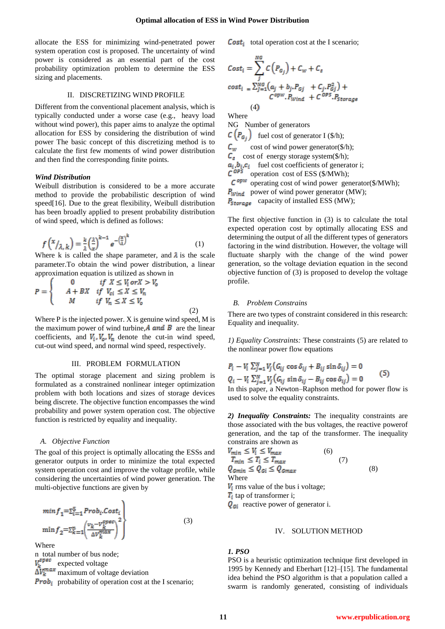allocate the ESS for minimizing wind-penetrated power system operation cost is proposed. The uncertainty of wind power is considered as an essential part of the cost probability optimization problem to determine the ESS sizing and placements.

# II. DISCRETIZING WIND PROFILE

Different from the conventional placement analysis, which is typically conducted under a worse case (e.g., heavy load without wind power), this paper aims to analyze the optimal allocation for ESS by considering the distribution of wind power The basic concept of this discretizing method is to calculate the first few moments of wind power distribution and then find the corresponding finite points.

## *Wind Distribution*

Weibull distribution is considered to be a more accurate method to provide the probabilistic description of wind speed[16]. Due to the great flexibility, Weibull distribution has been broadly applied to present probability distribution of wind speed, which is defined as follows:

$$
f\left(\frac{x}{\lambda,k}\right) = \frac{k}{\lambda} \left(\frac{\lambda}{x}\right)^{k-1} e^{-\left(\frac{x}{\lambda}\right)^k} \tag{1}
$$

Where k is called the shape parameter, and  $\lambda$  is the scale parameter.To obtain the wind power distribution, a linear approximation equation is utilized as shown in

$$
P = \begin{cases} 0 & \text{if } X \le V_1 \text{ or } X > V_0 \\ A + BX & \text{if } V_{ci} \le X \le V_n \\ M & \text{if } V_n \le X \le V_0 \end{cases}
$$
 (2)

Where P is the injected power. X is genuine wind speed, M is the maximum power of wind turbine,  $\vec{A}$  and  $\vec{B}$  are the linear coefficients, and  $V_i$ ,  $V_o$ ,  $V_n$  denote the cut-in wind speed, cut-out wind speed, and normal wind speed, respectively.

# III. PROBLEM FORMULATION

The optimal storage placement and sizing problem is formulated as a constrained nonlinear integer optimization problem with both locations and sizes of storage devices being discrete. The objective function encompasses the wind probability and power system operation cost. The objective function is restricted by equality and inequality.

#### *A. Objective Function*

The goal of this project is optimally allocating the ESSs and generator outputs in order to minimize the total expected system operation cost and improve the voltage profile, while considering the uncertainties of wind power generation. The multi-objective functions are given by

$$
\begin{aligned}\n\min f_1 = \sum_{i=1}^5 \text{Prob}_i \cdot \text{Cost}_i \\
\min f_2 = \sum_{k=1}^n \left( \frac{v_k - v_k^{\text{spec}}}{\Delta v_k^{\text{max}}} \right)^2\n\end{aligned} \tag{3}
$$

Where

n total number of bus node;  $V_{\nu}^{spec}$  expected voltage  $\Delta V_k^{\text{max}}$  maximum of voltage deviation **Prob**<sub>i</sub> probability of operation cost at the I scenario; **Cost**<sub>i</sub> total operation cost at the I scenario;

$$
Cost_i = \sum_{j}^{NG} C(P_{G_j}) + C_w + C_s
$$
  
\n
$$
cost_i = \sum_{j=1}^{NG} (a_j + b_j P_{Gj} + C_j P_{Gj}^2) + C^{OW} P_{Wind} + C^{OPS} P_{Storage}
$$
  
\n(4)

Where

NG Number of generators

 $\mathcal{C}\left(P_{G_i}\right)$  fuel cost of generator I (\$/h);

 $c_w$  cost of wind power generator(\$/h);  $C_s$  cost of energy storage system(\$/h);  $, b_i, c_i$  fuel cost coefficients of generator i; operation cost of ESS (\$/MWh);

 $C^{opw}$  operating cost of wind power generator(\$/MWh);  $P_{wind}$  power of wind power generator (MW);

 $P_{\text{Storage}}$  capacity of installed ESS (MW);

The first objective function in (3) is to calculate the total expected operation cost by optimally allocating ESS and determining the output of all the different types of generators factoring in the wind distribution. However, the voltage will fluctuate sharply with the change of the wind power generation, so the voltage deviation equation in the second objective function of (3) is proposed to develop the voltage profile.

## *B. Problem Constrains*

There are two types of constraint considered in this research: Equality and inequality.

*1) Equality Constraints:* These constraints (5) are related to the nonlinear power flow equations

$$
P_i - V_i \sum_{j=1}^{N} V_j (G_{ij} \cos \delta_{ij} + B_{ij} \sin \delta_{ij}) = 0
$$
  
\n
$$
Q_i - V_i \sum_{j=1}^{N} V_j (G_{ij} \sin \delta_{ij} - B_{ij} \cos \delta_{ij}) = 0
$$
 (5)

In this paper, a Newton–Raphson method for power flow is used to solve the equality constraints.

*2) Inequality Constraints:* The inequality constraints are those associated with the bus voltages, the reactive powerof generation, and the tap of the transformer. The inequality constrains are shown as

$$
V_{min} \le V_i \le V_{max}
$$
\n(6)  
\n
$$
T_{min} \le T_i \le T_{max}
$$
\n(7)  
\n
$$
Q_{cmin} \le Q_{ci} \le Q_{cmax}
$$
\n(8)  
\nWhere  
\n $V_i$  rms value of the bus i voltage;  
\n $T_i$  tap of transformer i;

 $\mathbf{Q}_{\text{G}i}$  reactive power of generator i.

# IV. SOLUTION METHOD

# *1. PSO*

PSO is a heuristic optimization technique first developed in 1995 by Kennedy and Eberhart [12]–[15]. The fundamental idea behind the PSO algorithm is that a population called a swarm is randomly generated, consisting of individuals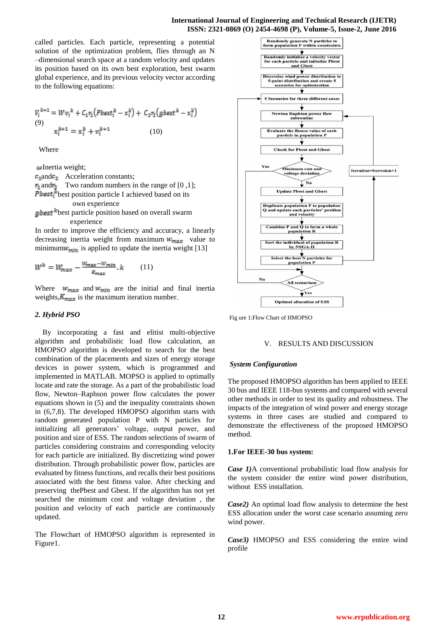## **International Journal of Engineering and Technical Research (IJETR) ISSN: 2321-0869 (O) 2454-4698 (P), Volume-5, Issue-2, June 2016**

called particles. Each particle, representing a potential solution of the optimization problem, flies through an N –dimensional search space at a random velocity and updates its position based on its own best exploration, best swarm global experience, and its previous velocity vector according to the following equations:

$$
V_i^{k+1} = Wv_i^k + C_1r_1(Pbest_i^k - x_i^k) + C_2r_2(gbest^k - x_i^k)
$$
  
(9)  

$$
x_i^{k+1} = x_i^k + v_i^{k+1}
$$
 (10)

Where

 $\omega$ Inertia weight;

 $c_1$ and $c_2$  Acceleration constants;  $r_1$  and  $r_2$  Two random numbers in the range of [0,1]; **Pbest**<sup> $k$ </sup> best position particle I achieved based on its own experience

*gbest*  $k$  best particle position based on overall swarm experience

In order to improve the efficiency and accuracy, a linearly decreasing inertia weight from maximum  $w_{max}$  value to minimum $w_{min}$  is applied to update the inertia weight [13]

$$
W^k = W_{max} - \frac{W_{max} - W_{min}}{R_{max}}, k \tag{11}
$$

Where  $w_{max}$  and  $w_{min}$  are the initial and final inertia weights,  $K_{max}$  is the maximum iteration number.

# *2. Hybrid PSO*

 By incorporating a fast and elitist multi-objective algorithm and probabilistic load flow calculation, an HMOPSO algorithm is developed to search for the best combination of the placements and sizes of energy storage devices in power system, which is programmed and implemented in MATLAB. MOPSO is applied to optimally locate and rate the storage. As a part of the probabilistic load flow, Newton–Raphson power flow calculates the power equations shown in (5) and the inequality constraints shown in (6,7,8). The developed HMOPSO algorithm starts with random generated population P with N particles for initializing all generators' voltage, output power, and position and size of ESS. The random selections of swarm of particles considering constrains and corresponding velocity for each particle are initialized. By discretizing wind power distribution. Through probabilistic power flow, particles are evaluated by fitness functions, and recalls their best positions associated with the best fitness value. After checking and preserving thePbest and Gbest. If the algorithm has not yet searched the minimum cost and voltage deviation , the position and velocity of each particle are continuously updated.

The Flowchart of HMOPSO algorithm is represented in Figure1.



Fig ure 1:Flow Chart of HMOPSO

## V. RESULTS AND DISCUSSION

## *System Configuration*

The proposed HMOPSO algorithm has been applied to IEEE 30 bus and IEEE 118-bus systems and compared with several other methods in order to test its quality and robustness. The impacts of the integration of wind power and energy storage systems in three cases are studied and compared to demonstrate the effectiveness of the proposed HMOPSO method.

## **1.For IEEE-30 bus system:**

*Case 1)*A conventional probabilistic load flow analysis for the system consider the entire wind power distribution, without ESS installation.

*Case2)* An optimal load flow analysis to determine the best ESS allocation under the worst case scenario assuming zero wind power.

*Case3)* HMOPSO and ESS considering the entire wind profile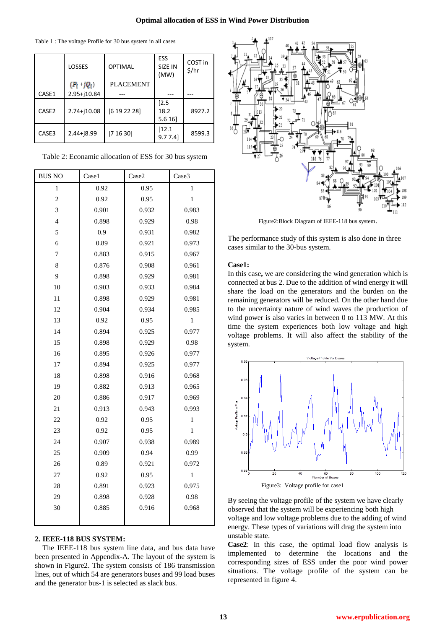Table 1 : The voltage Profile for 30 bus system in all cases

|                   | LOSSES          | <b>OPTIMAL</b>   | ESS<br>SIZE IN<br>(MW)  | COST in<br>\$/hr |
|-------------------|-----------------|------------------|-------------------------|------------------|
|                   | $(P_i + jQ_i)$  | <b>PLACEMENT</b> |                         |                  |
| CASE1             | 2.95+j10.84     |                  |                         |                  |
| CASE <sub>2</sub> | $2.74 + j10.08$ | [6 19 22 28]     | $[2.5$<br>18.2<br>5.616 | 8927.2           |
| CASE3             | $2.44 + 18.99$  | [7 16 30]        | [12.1<br>9.77.4         | 8599.3           |

Table 2: Econamic allocation of ESS for 30 bus system

| <b>BUS NO</b>  | Case1 | Case2 | Case3        |  |
|----------------|-------|-------|--------------|--|
| 1              | 0.92  | 0.95  | $\mathbf{1}$ |  |
| $\overline{c}$ | 0.92  | 0.95  | 1            |  |
| 3              | 0.901 | 0.932 | 0.983        |  |
| $\overline{4}$ | 0.898 | 0.929 | 0.98         |  |
| 5              | 0.9   | 0.931 | 0.982        |  |
| 6              | 0.89  | 0.921 | 0.973        |  |
| $\overline{7}$ | 0.883 | 0.915 | 0.967        |  |
| 8              | 0.876 | 0.908 | 0.961        |  |
| 9              | 0.898 | 0.929 | 0.981        |  |
| 10             | 0.903 | 0.933 | 0.984        |  |
| 11             | 0.898 | 0.929 | 0.981        |  |
| 12             | 0.904 | 0.934 | 0.985        |  |
| 13             | 0.92  | 0.95  | $\mathbf{1}$ |  |
| 14             | 0.894 | 0.925 | 0.977        |  |
| 15             | 0.898 | 0.929 | 0.98         |  |
| 16             | 0.895 | 0.926 | 0.977        |  |
| 17             | 0.894 | 0.925 | 0.977        |  |
| 18             | 0.898 | 0.916 | 0.968        |  |
| 19             | 0.882 | 0.913 | 0.965        |  |
| 20             | 0.886 | 0.917 | 0.969        |  |
| 21             | 0.913 | 0.943 | 0.993        |  |
| 22             | 0.92  | 0.95  | $\,1$        |  |
| 23             | 0.92  | 0.95  | $\,1$        |  |
| 24             | 0.907 | 0.938 | 0.989        |  |
| 25             | 0.909 | 0.94  | 0.99         |  |
| 26             | 0.89  | 0.921 | 0.972        |  |
| 27             | 0.92  | 0.95  | $\mathbf{1}$ |  |
| 28             | 0.891 | 0.923 | 0.975        |  |
| 29             | 0.898 | 0.928 | 0.98         |  |
| 30             | 0.885 | 0.916 | 0.968        |  |
|                |       |       |              |  |

# **2. IEEE-118 BUS SYSTEM:**

The IEEE-118 bus system line data, and bus data have been presented in Appendix-A. The layout of the system is shown in Figure2. The system consists of 186 transmission lines, out of which 54 are generators buses and 99 load buses and the generator bus-1 is selected as slack bus.



Figure2:Block Diagram of IEEE-118 bus system.

The performance study of this system is also done in three cases similar to the 30-bus system.

# **Case1:**

In this case**,** we are considering the wind generation which is connected at bus 2. Due to the addition of wind energy it will share the load on the generators and the burden on the remaining generators will be reduced. On the other hand due to the uncertainty nature of wind waves the production of wind power is also varies in between 0 to 113 MW. At this time the system experiences both low voltage and high voltage problems. It will also affect the stability of the system.



By seeing the voltage profile of the system we have clearly observed that the system will be experiencing both high voltage and low voltage problems due to the adding of wind energy. These types of variations will drag the system into

**Case2**: In this case, the optimal load flow analysis is implemented to determine the locations and the corresponding sizes of ESS under the poor wind power situations. The voltage profile of the system can be represented in figure 4.

unstable state.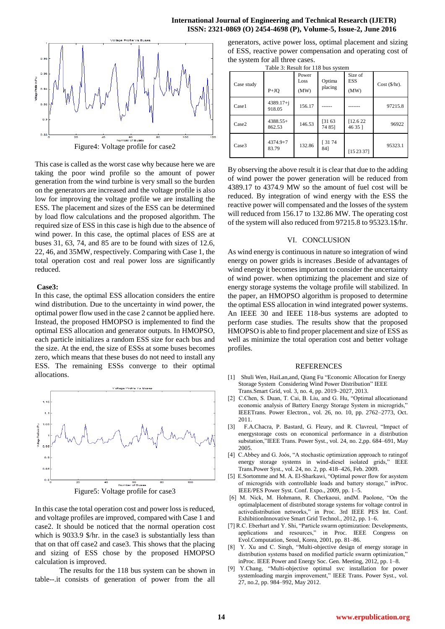## **International Journal of Engineering and Technical Research (IJETR) ISSN: 2321-0869 (O) 2454-4698 (P), Volume-5, Issue-2, June 2016**



Figure4: Voltage profile for case2

This case is called as the worst case why because here we are taking the poor wind profile so the amount of power generation from the wind turbine is very small so the burden on the generators are increased and the voltage profile is also low for improving the voltage profile we are installing the ESS. The placement and sizes of the ESS can be determined by load flow calculations and the proposed algorithm. The required size of ESS in this case is high due to the absence of wind power. In this case, the optimal places of ESS are at buses 31, 63, 74, and 85 are to be found with sizes of 12.6, 22, 46, and 35MW, respectively. Comparing with Case 1, the total operation cost and real power loss are significantly reduced.

## **Case3:**

In this case, the optimal ESS allocation considers the entire wind distribution. Due to the uncertainty in wind power, the optimal power flow used in the case 2 cannot be applied here. Instead, the proposed HMOPSO is implemented to find the optimal ESS allocation and generator outputs. In HMOPSO, each particle initializes a random ESS size for each bus and the size. At the end, the size of ESSs at some buses becomes zero, which means that these buses do not need to install any ESS. The remaining ESSs converge to their optimal allocations.



In this case the total operation cost and power loss is reduced, and voltage profiles are improved, compared with Case 1 and case2. It should be noticed that the normal operation cost which is 9033.9 \$/hr. in the case3 is substantially less than that on that off case2 and case3. This shows that the placing and sizing of ESS chose by the proposed HMOPSO calculation is improved.

 The results for the 118 bus system can be shown in table--.it consists of generation of power from the all

generators, active power loss, optimal placement and sizing of ESS, reactive power compensation and operating cost of the system for all three cases.

Table 3: Result for 118 bus system

| Case study        | $P+JO$                | Power<br>Loss<br>(MW) | Optima<br>placing | Size of<br><b>ESS</b><br>(MW) | $Cost ($\/hr$).$ |
|-------------------|-----------------------|-----------------------|-------------------|-------------------------------|------------------|
| Case1             | 4389.17+i<br>918.05   | 156.17                |                   |                               | 97215.8          |
| Case <sub>2</sub> | $4388.55+$<br>862.53  | 146.53                | [3163]<br>74 85]  | [12.6 22]<br>46 35 1          | 96922            |
| Case <sub>3</sub> | $4374.9 + 7$<br>83.79 | 132.86                | [3174]<br>841     | [152337]                      | 95323.1          |

By observing the above result it is clear that due to the adding of wind power the power generation will be reduced from 4389.17 to 4374.9 MW so the amount of fuel cost will be reduced. By integration of wind energy with the ESS the reactive power will compensated and the losses of the system will reduced from 156.17 to 132.86 MW. The operating cost of the system will also reduced from 97215.8 to 95323.1\$/hr.

#### VI. CONCLUSION

As wind energy is continuous in nature so integration of wind energy on power grids is increases .Beside of advantages of wind energy it becomes important to consider the uncertainty of wind power. when optimizing the placement and size of energy storage systems the voltage profile will stabilized. In the paper, an HMOPSO algorithm is proposed to determine the optimal ESS allocation in wind integrated power systems. An IEEE 30 and IEEE 118-bus systems are adopted to perform case studies. The results show that the proposed HMOPSO is able to find proper placement and size of ESS as well as minimize the total operation cost and better voltage profiles.

#### REFERENCES

- [1] Shuli Wen, HaiLan,and, Qiang Fu "Economic Allocation for Energy Storage System Considering Wind Power Distribution" IEEE Trans.Smart Grid, vol. 3, no. 4, pp. 2019–2027, 2013.
- [2] C.Chen, S. Duan, T. Cai, B. Liu, and G. Hu, "Optimal allocationand economic analysis of Battery Energy Storage System in microgrids," IEEETrans. Power Electron., vol. 26, no. 10, pp. 2762–2773, Oct. 2011.
- [3] F.A.Chacra, P. Bastard, G. Fleury, and R. Clavreul, "Impact of energystorage costs on economical performance in a distribution substation,"IEEE Trans. Power Syst., vol. 24, no. 2,pp. 684–691, May 2005.
- [4] C.Abbey and G. Joós, "A stochastic optimization approach to rating of energy storage systems in wind-diesel isolated grids," IEEE Trans.Power Syst., vol. 24, no. 2, pp. 418–426, Feb. 2009.
- [5] E.Sortomme and M. A. El-Sharkawi, "Optimal power flow for asystem of microgrids with controllable loads and battery storage," inProc. IEEE/PES Power Syst. Conf. Expo., 2009, pp. 1–5.
- [6] M. Nick, M. Hohmann, R. Cherkaoui, andM. Paolone, "On the optimalplacement of distributed storage systems for voltage control in activedistribution networks," in Proc. 3rd IEEE PES Int. Conf. ExhibitionInnovative Smart Grid Technol., 2012, pp. 1–6.
- [7] R.C. Eberhart and Y. Shi, "Particle swarm optimization: Developments, applications and resources," in Proc. IEEE Congress on Evol.Computation, Seoul, Korea, 2001, pp. 81–86.
- [8] Y. Xu and C. Singh, "Multi-objective design of energy storage in distribution systems based on modified particle swarm optimization," inProc. IEEE Power and Energy Soc. Gen. Meeting, 2012, pp. 1–8.
- [9] Y.Chang, "Multi-objective optimal svc installation for power systemloading margin improvement," IEEE Trans. Power Syst., vol. 27, no.2, pp. 984–992, May 2012.